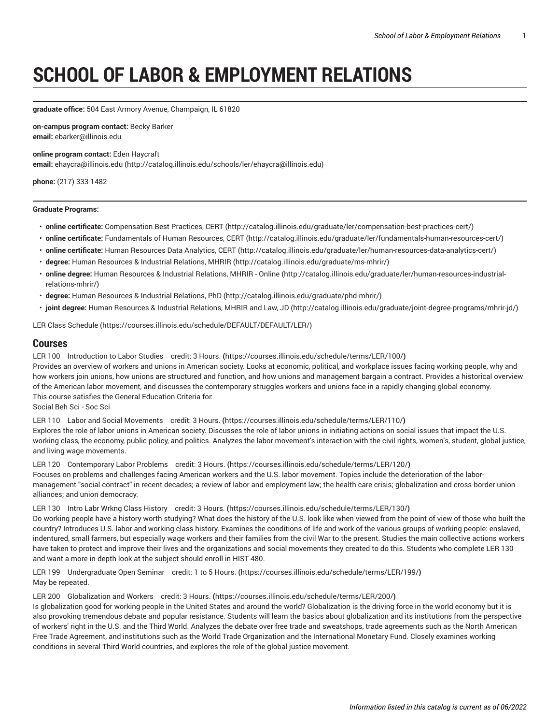# **SCHOOL OF LABOR & EMPLOYMENT RELATIONS**

**graduate office:** 504 East Armory Avenue, Champaign, IL 61820

**on-campus program contact:** Becky Barker **email:** [ebarker@illinois.edu](mailto:ebarker@illinois.edu)

**online program contact:** Eden Haycraft **email:** [ehaycra@illinois.edu](http://catalog.illinois.edu/schools/ler/ehaycra@illinois.edu) ([http://catalog.illinois.edu/schools/ler/ehaycra@illinois.edu\)](http://catalog.illinois.edu/schools/ler/ehaycra@illinois.edu)

**phone:** (217) 333-1482

## **Graduate Programs:**

- **online certificate:** [Compensation](http://catalog.illinois.edu/graduate/ler/compensation-best-practices-cert/) Best Practices, CERT ([http://catalog.illinois.edu/graduate/ler/compensation-best-practices-cert/\)](http://catalog.illinois.edu/graduate/ler/compensation-best-practices-cert/)
- **online certificate:** [Fundamentals](http://catalog.illinois.edu/graduate/ler/fundamentals-human-resources-cert/) of Human Resources, CERT (<http://catalog.illinois.edu/graduate/ler/fundamentals-human-resources-cert/>)
- **online certificate:** Human [Resources](http://catalog.illinois.edu/graduate/ler/human-resources-data-analytics-cert/) Data Analytics, CERT (<http://catalog.illinois.edu/graduate/ler/human-resources-data-analytics-cert/>)
- **degree:** Human [Resources](http://catalog.illinois.edu/graduate/ms-mhrir/) & Industrial Relations, MHRIR (<http://catalog.illinois.edu/graduate/ms-mhrir/>)
- **online degree:** Human [Resources](http://catalog.illinois.edu/graduate/ler/human-resources-industrial-relations-mhrir/) & Industrial Relations, MHRIR Online ([http://catalog.illinois.edu/graduate/ler/human-resources-industrial](http://catalog.illinois.edu/graduate/ler/human-resources-industrial-relations-mhrir/)[relations-mhrir/\)](http://catalog.illinois.edu/graduate/ler/human-resources-industrial-relations-mhrir/)
- **degree:** Human [Resources](http://catalog.illinois.edu/graduate/phd-mhrir/) & Industrial Relations, PhD ([http://catalog.illinois.edu/graduate/phd-mhrir/\)](http://catalog.illinois.edu/graduate/phd-mhrir/)
- **joint degree:** Human [Resources](http://catalog.illinois.edu/graduate/joint-degree-programs/mhrir-jd/) & Industrial Relations, MHRIR and Law, JD (<http://catalog.illinois.edu/graduate/joint-degree-programs/mhrir-jd/>)

[LER Class Schedule](https://courses.illinois.edu/schedule/DEFAULT/DEFAULT/LER/) [\(https://courses.illinois.edu/schedule/DEFAULT/DEFAULT/LER/\)](https://courses.illinois.edu/schedule/DEFAULT/DEFAULT/LER/)

# **Courses**

LER 100 [Introduction](https://courses.illinois.edu/schedule/terms/LER/100/) to Labor Studies credit: 3 Hours. **(**<https://courses.illinois.edu/schedule/terms/LER/100/>**)** Provides an overview of workers and unions in American society. Looks at economic, political, and workplace issues facing working people, why and how workers join unions, how unions are structured and function, and how unions and management bargain a contract. Provides a historical overview of the American labor movement, and discusses the contemporary struggles workers and unions face in a rapidly changing global economy. This course satisfies the General Education Criteria for:

Social Beh Sci - Soc Sci

LER 110 Labor and Social [Movements](https://courses.illinois.edu/schedule/terms/LER/110/) credit: 3 Hours. **(**<https://courses.illinois.edu/schedule/terms/LER/110/>**)** Explores the role of labor unions in American society. Discusses the role of labor unions in initiating actions on social issues that impact the U.S. working class, the economy, public policy, and politics. Analyzes the labor movement's interaction with the civil rights, women's, student, global justice, and living wage movements.

LER 120 [Contemporary](https://courses.illinois.edu/schedule/terms/LER/120/) Labor Problems credit: 3 Hours. **(**<https://courses.illinois.edu/schedule/terms/LER/120/>**)** Focuses on problems and challenges facing American workers and the U.S. labor movement. Topics include the deterioration of the labormanagement "social contract" in recent decades; a review of labor and employment law; the health care crisis; globalization and cross-border union alliances; and union democracy.

LER 130 Intro Labr Wrkng Class [History](https://courses.illinois.edu/schedule/terms/LER/130/) credit: 3 Hours. **(**<https://courses.illinois.edu/schedule/terms/LER/130/>**)**

Do working people have a history worth studying? What does the history of the U.S. look like when viewed from the point of view of those who built the country? Introduces U.S. labor and working class history. Examines the conditions of life and work of the various groups of working people: enslaved, indentured, small farmers, but especially wage workers and their families from the civil War to the present. Studies the main collective actions workers have taken to protect and improve their lives and the organizations and social movements they created to do this. Students who complete [LER 130](/search/?P=LER%20130) and want a more in-depth look at the subject should enroll in [HIST 480.](/search/?P=HIST%20480)

LER 199 [Undergraduate](https://courses.illinois.edu/schedule/terms/LER/199/) Open Seminar credit: 1 to 5 Hours. **(**<https://courses.illinois.edu/schedule/terms/LER/199/>**)** May be repeated.

LER 200 [Globalization](https://courses.illinois.edu/schedule/terms/LER/200/) and Workers credit: 3 Hours. **(**<https://courses.illinois.edu/schedule/terms/LER/200/>**)**

Is globalization good for working people in the United States and around the world? Globalization is the driving force in the world economy but it is also provoking tremendous debate and popular resistance. Students will learn the basics about globalization and its institutions from the perspective of workers' right in the U.S. and the Third World. Analyzes the debate over free trade and sweatshops, trade agreements such as the North American Free Trade Agreement, and institutions such as the World Trade Organization and the International Monetary Fund. Closely examines working conditions in several Third World countries, and explores the role of the global justice movement.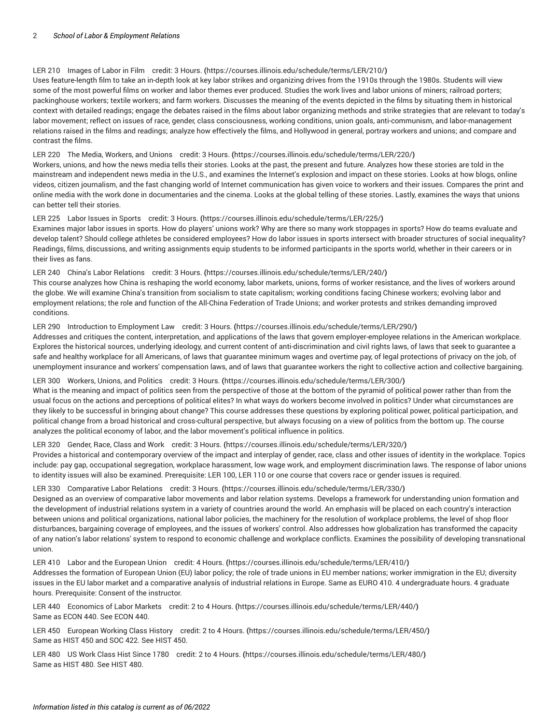## LER 210 [Images](https://courses.illinois.edu/schedule/terms/LER/210/) of Labor in Film credit: 3 Hours. **(**<https://courses.illinois.edu/schedule/terms/LER/210/>**)**

Uses feature-length film to take an in-depth look at key labor strikes and organizing drives from the 1910s through the 1980s. Students will view some of the most powerful films on worker and labor themes ever produced. Studies the work lives and labor unions of miners; railroad porters; packinghouse workers; textile workers; and farm workers. Discusses the meaning of the events depicted in the films by situating them in historical context with detailed readings; engage the debates raised in the films about labor organizing methods and strike strategies that are relevant to today's labor movement; reflect on issues of race, gender, class consciousness, working conditions, union goals, anti-communism, and labor-management relations raised in the films and readings; analyze how effectively the films, and Hollywood in general, portray workers and unions; and compare and contrast the films.

## LER 220 The Media, [Workers,](https://courses.illinois.edu/schedule/terms/LER/220/) and Unions credit: 3 Hours. **(**<https://courses.illinois.edu/schedule/terms/LER/220/>**)**

Workers, unions, and how the news media tells their stories. Looks at the past, the present and future. Analyzes how these stories are told in the mainstream and independent news media in the U.S., and examines the Internet's explosion and impact on these stories. Looks at how blogs, online videos, citizen journalism, and the fast changing world of Internet communication has given voice to workers and their issues. Compares the print and online media with the work done in documentaries and the cinema. Looks at the global telling of these stories. Lastly, examines the ways that unions can better tell their stories.

## LER 225 Labor Issues in Sports credit: 3 [Hours.](https://courses.illinois.edu/schedule/terms/LER/225/) **(**<https://courses.illinois.edu/schedule/terms/LER/225/>**)**

Examines major labor issues in sports. How do players' unions work? Why are there so many work stoppages in sports? How do teams evaluate and develop talent? Should college athletes be considered employees? How do labor issues in sports intersect with broader structures of social inequality? Readings, films, discussions, and writing assignments equip students to be informed participants in the sports world, whether in their careers or in their lives as fans.

# LER 240 China's Labor [Relations](https://courses.illinois.edu/schedule/terms/LER/240/) credit: 3 Hours. **(**<https://courses.illinois.edu/schedule/terms/LER/240/>**)**

This course analyzes how China is reshaping the world economy, labor markets, unions, forms of worker resistance, and the lives of workers around the globe. We will examine China's transition from socialism to state capitalism; working conditions facing Chinese workers; evolving labor and employment relations; the role and function of the All-China Federation of Trade Unions; and worker protests and strikes demanding improved conditions.

## LER 290 Introduction to [Employment](https://courses.illinois.edu/schedule/terms/LER/290/) Law credit: 3 Hours. **(**<https://courses.illinois.edu/schedule/terms/LER/290/>**)**

Addresses and critiques the content, interpretation, and applications of the laws that govern employer-employee relations in the American workplace. Explores the historical sources, underlying ideology, and current content of anti-discrimination and civil rights laws, of laws that seek to guarantee a safe and healthy workplace for all Americans, of laws that guarantee minimum wages and overtime pay, of legal protections of privacy on the job, of unemployment insurance and workers' compensation laws, and of laws that guarantee workers the right to collective action and collective bargaining.

## LER 300 [Workers,](https://courses.illinois.edu/schedule/terms/LER/300/) Unions, and Politics credit: 3 Hours. **(**<https://courses.illinois.edu/schedule/terms/LER/300/>**)**

What is the meaning and impact of politics seen from the perspective of those at the bottom of the pyramid of political power rather than from the usual focus on the actions and perceptions of political elites? In what ways do workers become involved in politics? Under what circumstances are they likely to be successful in bringing about change? This course addresses these questions by exploring political power, political participation, and political change from a broad historical and cross-cultural perspective, but always focusing on a view of politics from the bottom up. The course analyzes the political economy of labor, and the labor movement's political influence in politics.

## LER 320 [Gender,](https://courses.illinois.edu/schedule/terms/LER/320/) Race, Class and Work credit: 3 Hours. **(**<https://courses.illinois.edu/schedule/terms/LER/320/>**)**

Provides a historical and contemporary overview of the impact and interplay of gender, race, class and other issues of identity in the workplace. Topics include: pay gap, occupational segregation, workplace harassment, low wage work, and employment discrimination laws. The response of labor unions to identity issues will also be examined. Prerequisite: [LER 100](/search/?P=LER%20100), [LER 110](/search/?P=LER%20110) or one course that covers race or gender issues is required.

# LER 330 [Comparative](https://courses.illinois.edu/schedule/terms/LER/330/) Labor Relations credit: 3 Hours. **(**<https://courses.illinois.edu/schedule/terms/LER/330/>**)**

Designed as an overview of comparative labor movements and labor relation systems. Develops a framework for understanding union formation and the development of industrial relations system in a variety of countries around the world. An emphasis will be placed on each country's interaction between unions and political organizations, national labor policies, the machinery for the resolution of workplace problems, the level of shop floor disturbances, bargaining coverage of employees, and the issues of workers' control. Also addresses how globalization has transformed the capacity of any nation's labor relations' system to respond to economic challenge and workplace conflicts. Examines the possibility of developing transnational union.

LER 410 Labor and the [European](https://courses.illinois.edu/schedule/terms/LER/410/) Union credit: 4 Hours. **(**<https://courses.illinois.edu/schedule/terms/LER/410/>**)** Addresses the formation of European Union (EU) labor policy; the role of trade unions in EU member nations; worker immigration in the EU; diversity issues in the EU labor market and a comparative analysis of industrial relations in Europe. Same as [EURO 410.](/search/?P=EURO%20410) 4 undergraduate hours. 4 graduate hours. Prerequisite: Consent of the instructor.

LER 440 [Economics](https://courses.illinois.edu/schedule/terms/LER/440/) of Labor Markets credit: 2 to 4 Hours. **(**<https://courses.illinois.edu/schedule/terms/LER/440/>**)** Same as [ECON 440](/search/?P=ECON%20440). See [ECON 440](/search/?P=ECON%20440).

LER 450 [European](https://courses.illinois.edu/schedule/terms/LER/450/) Working Class History credit: 2 to 4 Hours. **(**<https://courses.illinois.edu/schedule/terms/LER/450/>**)** Same as [HIST 450](/search/?P=HIST%20450) and [SOC 422.](/search/?P=SOC%20422) See [HIST 450](/search/?P=HIST%20450).

LER 480 US Work Class Hist Since 1780 credit: 2 to 4 [Hours.](https://courses.illinois.edu/schedule/terms/LER/480/) **(**<https://courses.illinois.edu/schedule/terms/LER/480/>**)** Same as [HIST 480](/search/?P=HIST%20480). See [HIST 480.](/search/?P=HIST%20480)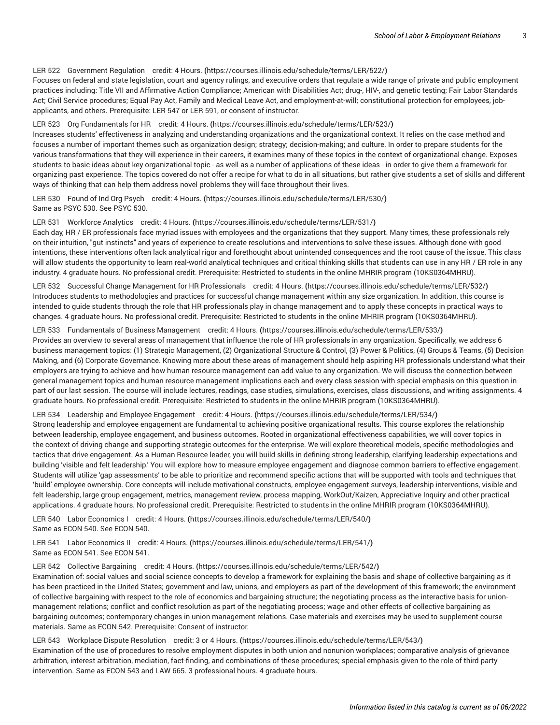# LER 522 [Government](https://courses.illinois.edu/schedule/terms/LER/522/) Regulation credit: 4 Hours. **(**<https://courses.illinois.edu/schedule/terms/LER/522/>**)**

Focuses on federal and state legislation, court and agency rulings, and executive orders that regulate a wide range of private and public employment practices including: Title VII and Affirmative Action Compliance; American with Disabilities Act; drug-, HIV-, and genetic testing; Fair Labor Standards Act; Civil Service procedures; Equal Pay Act, Family and Medical Leave Act, and employment-at-will; constitutional protection for employees, jobapplicants, and others. Prerequisite: [LER 547](/search/?P=LER%20547) or [LER 591,](/search/?P=LER%20591) or consent of instructor.

#### LER 523 Org [Fundamentals](https://courses.illinois.edu/schedule/terms/LER/523/) for HR credit: 4 Hours. **(**<https://courses.illinois.edu/schedule/terms/LER/523/>**)**

Increases students' effectiveness in analyzing and understanding organizations and the organizational context. It relies on the case method and focuses a number of important themes such as organization design; strategy; decision-making; and culture. In order to prepare students for the various transformations that they will experience in their careers, it examines many of these topics in the context of organizational change. Exposes students to basic ideas about key organizational topic - as well as a number of applications of these ideas - in order to give them a framework for organizing past experience. The topics covered do not offer a recipe for what to do in all situations, but rather give students a set of skills and different ways of thinking that can help them address novel problems they will face throughout their lives.

LER 530 Found of Ind Org Psych credit: 4 [Hours.](https://courses.illinois.edu/schedule/terms/LER/530/) **(**<https://courses.illinois.edu/schedule/terms/LER/530/>**)** Same as [PSYC](/search/?P=PSYC%20530) 530. See [PSYC](/search/?P=PSYC%20530) 530.

## LER 531 [Workforce](https://courses.illinois.edu/schedule/terms/LER/531/) Analytics credit: 4 Hours. **(**<https://courses.illinois.edu/schedule/terms/LER/531/>**)**

Each day, HR / ER professionals face myriad issues with employees and the organizations that they support. Many times, these professionals rely on their intuition, "gut instincts" and years of experience to create resolutions and interventions to solve these issues. Although done with good intentions, these interventions often lack analytical rigor and forethought about unintended consequences and the root cause of the issue. This class will allow students the opportunity to learn real-world analytical techniques and critical thinking skills that students can use in any HR / ER role in any industry. 4 graduate hours. No professional credit. Prerequisite: Restricted to students in the online MHRIR program (10KS0364MHRU).

LER 532 Successful Change Management for HR [Professionals](https://courses.illinois.edu/schedule/terms/LER/532/) credit: 4 Hours. **(**<https://courses.illinois.edu/schedule/terms/LER/532/>**)** Introduces students to methodologies and practices for successful change management within any size organization. In addition, this course is intended to guide students through the role that HR professionals play in change management and to apply these concepts in practical ways to changes. 4 graduate hours. No professional credit. Prerequisite: Restricted to students in the online MHRIR program (10KS0364MHRU).

#### LER 533 [Fundamentals](https://courses.illinois.edu/schedule/terms/LER/533/) of Business Management credit: 4 Hours. **(**<https://courses.illinois.edu/schedule/terms/LER/533/>**)**

Provides an overview to several areas of management that influence the role of HR professionals in any organization. Specifically, we address 6 business management topics: (1) Strategic Management, (2) Organizational Structure & Control, (3) Power & Politics, (4) Groups & Teams, (5) Decision Making, and (6) Corporate Governance. Knowing more about these areas of management should help aspiring HR professionals understand what their employers are trying to achieve and how human resource management can add value to any organization. We will discuss the connection between general management topics and human resource management implications each and every class session with special emphasis on this question in part of our last session. The course will include lectures, readings, case studies, simulations, exercises, class discussions, and writing assignments. 4 graduate hours. No professional credit. Prerequisite: Restricted to students in the online MHRIR program (10KS0364MHRU).

# LER 534 Leadership and Employee [Engagement](https://courses.illinois.edu/schedule/terms/LER/534/) credit: 4 Hours. **(**<https://courses.illinois.edu/schedule/terms/LER/534/>**)** Strong leadership and employee engagement are fundamental to achieving positive organizational results. This course explores the relationship between leadership, employee engagement, and business outcomes. Rooted in organizational effectiveness capabilities, we will cover topics in the context of driving change and supporting strategic outcomes for the enterprise. We will explore theoretical models, specific methodologies and tactics that drive engagement. As a Human Resource leader, you will build skills in defining strong leadership, clarifying leadership expectations and building 'visible and felt leadership.' You will explore how to measure employee engagement and diagnose common barriers to effective engagement. Students will utilize 'gap assessments' to be able to prioritize and recommend specific actions that will be supported with tools and techniques that 'build' employee ownership. Core concepts will include motivational constructs, employee engagement surveys, leadership interventions, visible and felt leadership, large group engagement, metrics, management review, process mapping, WorkOut/Kaizen, Appreciative Inquiry and other practical applications. 4 graduate hours. No professional credit. Prerequisite: Restricted to students in the online MHRIR program (10KS0364MHRU).

LER 540 Labor [Economics](https://courses.illinois.edu/schedule/terms/LER/540/) I credit: 4 Hours. **(**<https://courses.illinois.edu/schedule/terms/LER/540/>**)** Same as [ECON 540](/search/?P=ECON%20540). See [ECON 540](/search/?P=ECON%20540).

LER 541 Labor [Economics](https://courses.illinois.edu/schedule/terms/LER/541/) II credit: 4 Hours. **(**<https://courses.illinois.edu/schedule/terms/LER/541/>**)** Same as [ECON 541](/search/?P=ECON%20541). See [ECON 541](/search/?P=ECON%20541).

#### LER 542 Collective [Bargaining](https://courses.illinois.edu/schedule/terms/LER/542/) credit: 4 Hours. **(**<https://courses.illinois.edu/schedule/terms/LER/542/>**)**

Examination of: social values and social science concepts to develop a framework for explaining the basis and shape of collective bargaining as it has been practiced in the United States; government and law, unions, and employers as part of the development of this framework; the environment of collective bargaining with respect to the role of economics and bargaining structure; the negotiating process as the interactive basis for unionmanagement relations; conflict and conflict resolution as part of the negotiating process; wage and other effects of collective bargaining as bargaining outcomes; contemporary changes in union management relations. Case materials and exercises may be used to supplement course materials. Same as [ECON 542](/search/?P=ECON%20542). Prerequisite: Consent of instructor.

#### LER 543 Workplace Dispute [Resolution](https://courses.illinois.edu/schedule/terms/LER/543/) credit: 3 or 4 Hours. **(**<https://courses.illinois.edu/schedule/terms/LER/543/>**)**

Examination of the use of procedures to resolve employment disputes in both union and nonunion workplaces; comparative analysis of grievance arbitration, interest arbitration, mediation, fact-finding, and combinations of these procedures; special emphasis given to the role of third party intervention. Same as [ECON 543](/search/?P=ECON%20543) and [LAW](/search/?P=LAW%20665) 665. 3 professional hours. 4 graduate hours.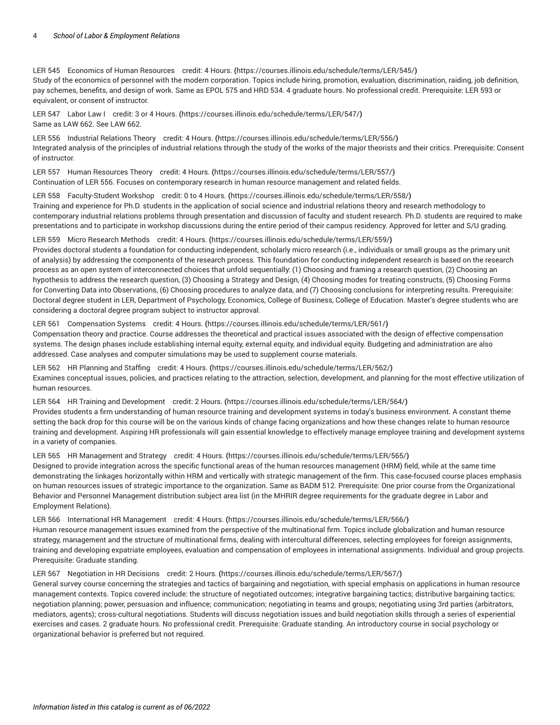LER 545 [Economics](https://courses.illinois.edu/schedule/terms/LER/545/) of Human Resources credit: 4 Hours. **(**<https://courses.illinois.edu/schedule/terms/LER/545/>**)** Study of the economics of personnel with the modern corporation. Topics include hiring, promotion, evaluation, discrimination, raiding, job definition, pay schemes, benefits, and design of work. Same as [EPOL 575](/search/?P=EPOL%20575) and [HRD 534](/search/?P=HRD%20534). 4 graduate hours. No professional credit. Prerequisite: [LER 593](/search/?P=LER%20593) or equivalent, or consent of instructor.

LER 547 Labor Law I credit: 3 or 4 [Hours.](https://courses.illinois.edu/schedule/terms/LER/547/) **(**<https://courses.illinois.edu/schedule/terms/LER/547/>**)** Same as [LAW](/search/?P=LAW%20662) 662. See [LAW](/search/?P=LAW%20662) 662.

LER 556 [Industrial](https://courses.illinois.edu/schedule/terms/LER/556/) Relations Theory credit: 4 Hours. **(**<https://courses.illinois.edu/schedule/terms/LER/556/>**)** Integrated analysis of the principles of industrial relations through the study of the works of the major theorists and their critics. Prerequisite: Consent of instructor.

LER 557 Human [Resources](https://courses.illinois.edu/schedule/terms/LER/557/) Theory credit: 4 Hours. **(**<https://courses.illinois.edu/schedule/terms/LER/557/>**)** Continuation of [LER 556](/search/?P=LER%20556). Focuses on contemporary research in human resource management and related fields.

LER 558 [Faculty-Student](https://courses.illinois.edu/schedule/terms/LER/558/) Workshop credit: 0 to 4 Hours. **(**<https://courses.illinois.edu/schedule/terms/LER/558/>**)** Training and experience for Ph.D. students in the application of social science and industrial relations theory and research methodology to contemporary industrial relations problems through presentation and discussion of faculty and student research. Ph.D. students are required to make presentations and to participate in workshop discussions during the entire period of their campus residency. Approved for letter and S/U grading.

LER 559 Micro [Research](https://courses.illinois.edu/schedule/terms/LER/559/) Methods credit: 4 Hours. **(**<https://courses.illinois.edu/schedule/terms/LER/559/>**)**

Provides doctoral students a foundation for conducting independent, scholarly micro research (i.e., individuals or small groups as the primary unit of analysis) by addressing the components of the research process. This foundation for conducting independent research is based on the research process as an open system of interconnected choices that unfold sequentially: (1) Choosing and framing a research question, (2) Choosing an hypothesis to address the research question, (3) Choosing a Strategy and Design, (4) Choosing modes for treating constructs, (5) Choosing Forms for Converting Data into Observations, (6) Choosing procedures to analyze data, and (7) Choosing conclusions for interpreting results. Prerequisite: Doctoral degree student in LER, Department of Psychology, Economics, College of Business, College of Education. Master's degree students who are considering a doctoral degree program subject to instructor approval.

## LER 561 [Compensation](https://courses.illinois.edu/schedule/terms/LER/561/) Systems credit: 4 Hours. **(**<https://courses.illinois.edu/schedule/terms/LER/561/>**)**

Compensation theory and practice. Course addresses the theoretical and practical issues associated with the design of effective compensation systems. The design phases include establishing internal equity, external equity, and individual equity. Budgeting and administration are also addressed. Case analyses and computer simulations may be used to supplement course materials.

LER 562 HR [Planning](https://courses.illinois.edu/schedule/terms/LER/562/) and Staffing credit: 4 Hours. **(**<https://courses.illinois.edu/schedule/terms/LER/562/>**)** Examines conceptual issues, policies, and practices relating to the attraction, selection, development, and planning for the most effective utilization of human resources.

LER 564 HR Training and [Development](https://courses.illinois.edu/schedule/terms/LER/564/) credit: 2 Hours. **(**<https://courses.illinois.edu/schedule/terms/LER/564/>**)** Provides students a firm understanding of human resource training and development systems in today's business environment. A constant theme setting the back drop for this course will be on the various kinds of change facing organizations and how these changes relate to human resource training and development. Aspiring HR professionals will gain essential knowledge to effectively manage employee training and development systems in a variety of companies.

LER 565 HR [Management](https://courses.illinois.edu/schedule/terms/LER/565/) and Strategy credit: 4 Hours. **(**<https://courses.illinois.edu/schedule/terms/LER/565/>**)**

Designed to provide integration across the specific functional areas of the human resources management (HRM) field, while at the same time demonstrating the linkages horizontally within HRM and vertically with strategic management of the firm. This case-focused course places emphasis on human resources issues of strategic importance to the organization. Same as [BADM 512](/search/?P=BADM%20512). Prerequisite: One prior course from the Organizational Behavior and Personnel Management distribution subject area list (in the MHRIR degree requirements for the graduate degree in Labor and Employment Relations).

LER 566 International HR [Management](https://courses.illinois.edu/schedule/terms/LER/566/) credit: 4 Hours. **(**<https://courses.illinois.edu/schedule/terms/LER/566/>**)**

Human resource management issues examined from the perspective of the multinational firm. Topics include globalization and human resource strategy, management and the structure of multinational firms, dealing with intercultural differences, selecting employees for foreign assignments, training and developing expatriate employees, evaluation and compensation of employees in international assignments. Individual and group projects. Prerequisite: Graduate standing.

## LER 567 [Negotiation](https://courses.illinois.edu/schedule/terms/LER/567/) in HR Decisions credit: 2 Hours. **(**<https://courses.illinois.edu/schedule/terms/LER/567/>**)**

General survey course concerning the strategies and tactics of bargaining and negotiation, with special emphasis on applications in human resource management contexts. Topics covered include: the structure of negotiated outcomes; integrative bargaining tactics; distributive bargaining tactics; negotiation planning; power, persuasion and influence; communication; negotiating in teams and groups; negotiating using 3rd parties (arbitrators, mediators, agents); cross-cultural negotiations. Students will discuss negotiation issues and build negotiation skills through a series of experiential exercises and cases. 2 graduate hours. No professional credit. Prerequisite: Graduate standing. An introductory course in social psychology or organizational behavior is preferred but not required.